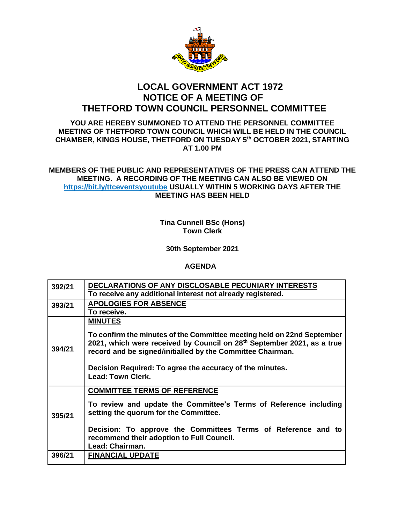

## **LOCAL GOVERNMENT ACT 1972 NOTICE OF A MEETING OF THETFORD TOWN COUNCIL PERSONNEL COMMITTEE**

## **YOU ARE HEREBY SUMMONED TO ATTEND THE PERSONNEL COMMITTEE MEETING OF THETFORD TOWN COUNCIL WHICH WILL BE HELD IN THE COUNCIL CHAMBER, KINGS HOUSE, THETFORD ON TUESDAY 5th OCTOBER 2021, STARTING AT 1.00 PM**

## **MEMBERS OF THE PUBLIC AND REPRESENTATIVES OF THE PRESS CAN ATTEND THE MEETING. A RECORDING OF THE MEETING CAN ALSO BE VIEWED ON https://bit.ly/ttceventsyoutube USUALLY WITHIN 5 WORKING DAYS AFTER THE MEETING HAS BEEN HELD**

**Tina Cunnell BSc (Hons) Town Clerk**

**30th September 2021**

## **AGENDA**

| 392/21 | DECLARATIONS OF ANY DISCLOSABLE PECUNIARY INTERESTS<br>To receive any additional interest not already registered.                                                                                                                                                                                                                    |
|--------|--------------------------------------------------------------------------------------------------------------------------------------------------------------------------------------------------------------------------------------------------------------------------------------------------------------------------------------|
| 393/21 | <b>APOLOGIES FOR ABSENCE</b><br>To receive.                                                                                                                                                                                                                                                                                          |
| 394/21 | <b>MINUTES</b><br>To confirm the minutes of the Committee meeting held on 22nd September<br>2021, which were received by Council on 28 <sup>th</sup> September 2021, as a true<br>record and be signed/initialled by the Committee Chairman.<br>Decision Required: To agree the accuracy of the minutes.<br><b>Lead: Town Clerk.</b> |
| 395/21 | <b>COMMITTEE TERMS OF REFERENCE</b><br>To review and update the Committee's Terms of Reference including<br>setting the quorum for the Committee.<br>Decision: To approve the Committees Terms of Reference and to<br>recommend their adoption to Full Council.<br>Lead: Chairman.                                                   |
| 396/21 | <b>FINANCIAL UPDATE</b>                                                                                                                                                                                                                                                                                                              |